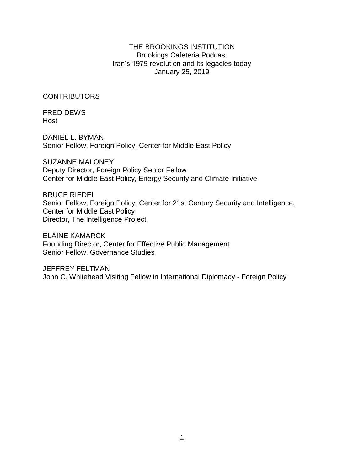# THE BROOKINGS INSTITUTION Brookings Cafeteria Podcast Iran's 1979 revolution and its legacies today January 25, 2019

**CONTRIBUTORS** 

FRED DEWS Host

DANIEL L. BYMAN Senior Fellow, Foreign Policy, Center for Middle East Policy

SUZANNE MALONEY Deputy Director, Foreign Policy Senior Fellow Center for Middle East Policy, Energy Security and Climate Initiative

BRUCE RIEDEL Senior Fellow, Foreign Policy, Center for 21st Century Security and Intelligence, Center for Middle East Policy Director, The Intelligence Project

ELAINE KAMARCK Founding Director, Center for Effective Public Management Senior Fellow, Governance Studies

JEFFREY FELTMAN John C. Whitehead Visiting Fellow in International Diplomacy - Foreign Policy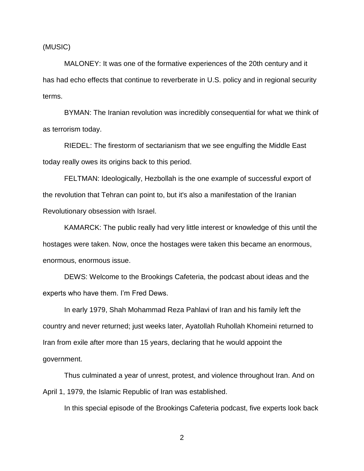(MUSIC)

MALONEY: It was one of the formative experiences of the 20th century and it has had echo effects that continue to reverberate in U.S. policy and in regional security terms.

BYMAN: The Iranian revolution was incredibly consequential for what we think of as terrorism today.

RIEDEL: The firestorm of sectarianism that we see engulfing the Middle East today really owes its origins back to this period.

FELTMAN: Ideologically, Hezbollah is the one example of successful export of the revolution that Tehran can point to, but it's also a manifestation of the Iranian Revolutionary obsession with Israel.

KAMARCK: The public really had very little interest or knowledge of this until the hostages were taken. Now, once the hostages were taken this became an enormous, enormous, enormous issue.

DEWS: Welcome to the Brookings Cafeteria, the podcast about ideas and the experts who have them. I'm Fred Dews.

In early 1979, Shah Mohammad Reza Pahlavi of Iran and his family left the country and never returned; just weeks later, Ayatollah Ruhollah Khomeini returned to Iran from exile after more than 15 years, declaring that he would appoint the government.

Thus culminated a year of unrest, protest, and violence throughout Iran. And on April 1, 1979, the Islamic Republic of Iran was established.

In this special episode of the Brookings Cafeteria podcast, five experts look back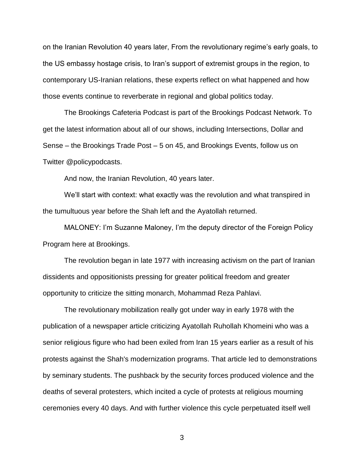on the Iranian Revolution 40 years later, From the revolutionary regime's early goals, to the US embassy hostage crisis, to Iran's support of extremist groups in the region, to contemporary US-Iranian relations, these experts reflect on what happened and how those events continue to reverberate in regional and global politics today.

The Brookings Cafeteria Podcast is part of the Brookings Podcast Network. To get the latest information about all of our shows, including Intersections, Dollar and Sense – the Brookings Trade Post – 5 on 45, and Brookings Events, follow us on Twitter @policypodcasts.

And now, the Iranian Revolution, 40 years later.

We'll start with context: what exactly was the revolution and what transpired in the tumultuous year before the Shah left and the Ayatollah returned.

MALONEY: I'm Suzanne Maloney, I'm the deputy director of the Foreign Policy Program here at Brookings.

The revolution began in late 1977 with increasing activism on the part of Iranian dissidents and oppositionists pressing for greater political freedom and greater opportunity to criticize the sitting monarch, Mohammad Reza Pahlavi.

The revolutionary mobilization really got under way in early 1978 with the publication of a newspaper article criticizing Ayatollah Ruhollah Khomeini who was a senior religious figure who had been exiled from Iran 15 years earlier as a result of his protests against the Shah's modernization programs. That article led to demonstrations by seminary students. The pushback by the security forces produced violence and the deaths of several protesters, which incited a cycle of protests at religious mourning ceremonies every 40 days. And with further violence this cycle perpetuated itself well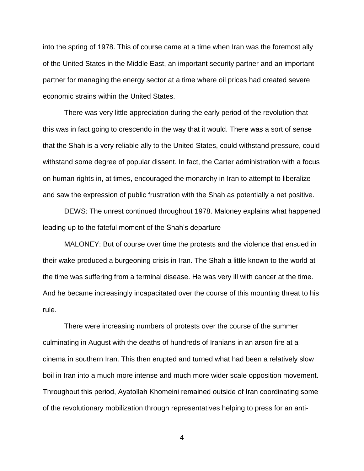into the spring of 1978. This of course came at a time when Iran was the foremost ally of the United States in the Middle East, an important security partner and an important partner for managing the energy sector at a time where oil prices had created severe economic strains within the United States.

There was very little appreciation during the early period of the revolution that this was in fact going to crescendo in the way that it would. There was a sort of sense that the Shah is a very reliable ally to the United States, could withstand pressure, could withstand some degree of popular dissent. In fact, the Carter administration with a focus on human rights in, at times, encouraged the monarchy in Iran to attempt to liberalize and saw the expression of public frustration with the Shah as potentially a net positive.

DEWS: The unrest continued throughout 1978. Maloney explains what happened leading up to the fateful moment of the Shah's departure

MALONEY: But of course over time the protests and the violence that ensued in their wake produced a burgeoning crisis in Iran. The Shah a little known to the world at the time was suffering from a terminal disease. He was very ill with cancer at the time. And he became increasingly incapacitated over the course of this mounting threat to his rule.

There were increasing numbers of protests over the course of the summer culminating in August with the deaths of hundreds of Iranians in an arson fire at a cinema in southern Iran. This then erupted and turned what had been a relatively slow boil in Iran into a much more intense and much more wider scale opposition movement. Throughout this period, Ayatollah Khomeini remained outside of Iran coordinating some of the revolutionary mobilization through representatives helping to press for an anti-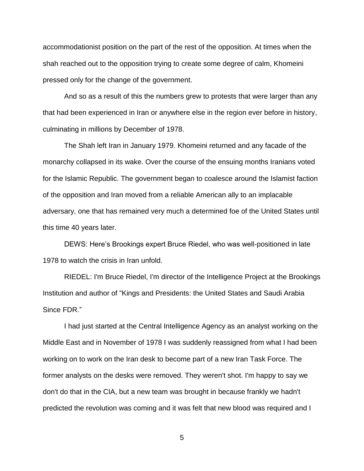accommodationist position on the part of the rest of the opposition. At times when the shah reached out to the opposition trying to create some degree of calm, Khomeini pressed only for the change of the government.

And so as a result of this the numbers grew to protests that were larger than any that had been experienced in Iran or anywhere else in the region ever before in history, culminating in millions by December of 1978.

The Shah left Iran in January 1979. Khomeini returned and any facade of the monarchy collapsed in its wake. Over the course of the ensuing months Iranians voted for the Islamic Republic. The government began to coalesce around the Islamist faction of the opposition and Iran moved from a reliable American ally to an implacable adversary, one that has remained very much a determined foe of the United States until this time 40 years later.

DEWS: Here's Brookings expert Bruce Riedel, who was well-positioned in late 1978 to watch the crisis in Iran unfold.

RIEDEL: I'm Bruce Riedel, I'm director of the Intelligence Project at the Brookings Institution and author of "Kings and Presidents: the United States and Saudi Arabia Since FDR."

I had just started at the Central Intelligence Agency as an analyst working on the Middle East and in November of 1978 I was suddenly reassigned from what I had been working on to work on the Iran desk to become part of a new Iran Task Force. The former analysts on the desks were removed. They weren't shot. I'm happy to say we don't do that in the CIA, but a new team was brought in because frankly we hadn't predicted the revolution was coming and it was felt that new blood was required and I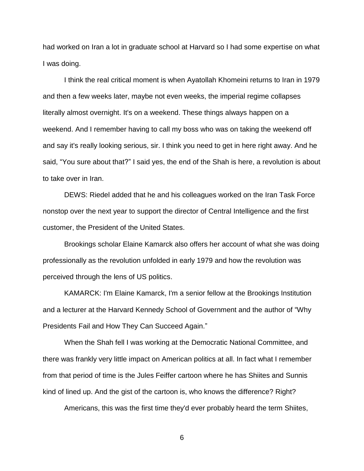had worked on Iran a lot in graduate school at Harvard so I had some expertise on what I was doing.

I think the real critical moment is when Ayatollah Khomeini returns to Iran in 1979 and then a few weeks later, maybe not even weeks, the imperial regime collapses literally almost overnight. It's on a weekend. These things always happen on a weekend. And I remember having to call my boss who was on taking the weekend off and say it's really looking serious, sir. I think you need to get in here right away. And he said, "You sure about that?" I said yes, the end of the Shah is here, a revolution is about to take over in Iran.

DEWS: Riedel added that he and his colleagues worked on the Iran Task Force nonstop over the next year to support the director of Central Intelligence and the first customer, the President of the United States.

Brookings scholar Elaine Kamarck also offers her account of what she was doing professionally as the revolution unfolded in early 1979 and how the revolution was perceived through the lens of US politics.

KAMARCK: I'm Elaine Kamarck, I'm a senior fellow at the Brookings Institution and a lecturer at the Harvard Kennedy School of Government and the author of "Why Presidents Fail and How They Can Succeed Again."

When the Shah fell I was working at the Democratic National Committee, and there was frankly very little impact on American politics at all. In fact what I remember from that period of time is the Jules Feiffer cartoon where he has Shiites and Sunnis kind of lined up. And the gist of the cartoon is, who knows the difference? Right?

Americans, this was the first time they'd ever probably heard the term Shiites,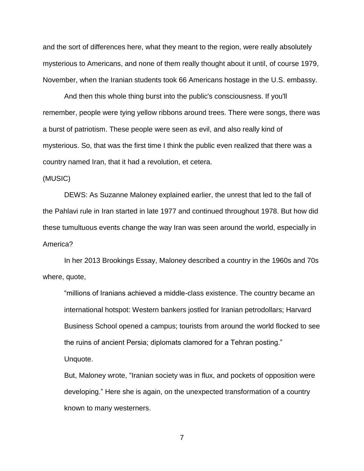and the sort of differences here, what they meant to the region, were really absolutely mysterious to Americans, and none of them really thought about it until, of course 1979, November, when the Iranian students took 66 Americans hostage in the U.S. embassy.

And then this whole thing burst into the public's consciousness. If you'll remember, people were tying yellow ribbons around trees. There were songs, there was a burst of patriotism. These people were seen as evil, and also really kind of mysterious. So, that was the first time I think the public even realized that there was a country named Iran, that it had a revolution, et cetera.

#### (MUSIC)

DEWS: As Suzanne Maloney explained earlier, the unrest that led to the fall of the Pahlavi rule in Iran started in late 1977 and continued throughout 1978. But how did these tumultuous events change the way Iran was seen around the world, especially in America?

In her 2013 Brookings Essay, Maloney described a country in the 1960s and 70s where, quote,

"millions of Iranians achieved a middle-class existence. The country became an international hotspot: Western bankers jostled for Iranian petrodollars; Harvard Business School opened a campus; tourists from around the world flocked to see the ruins of ancient Persia; diplomats clamored for a Tehran posting." Unquote.

But, Maloney wrote, "Iranian society was in flux, and pockets of opposition were developing." Here she is again, on the unexpected transformation of a country known to many westerners.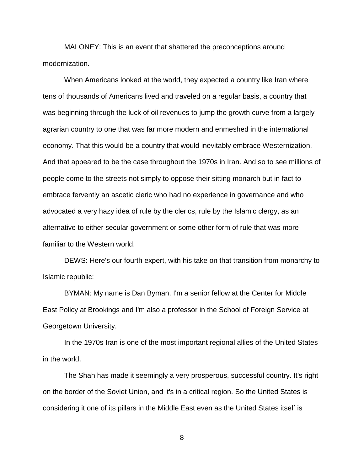MALONEY: This is an event that shattered the preconceptions around modernization.

When Americans looked at the world, they expected a country like Iran where tens of thousands of Americans lived and traveled on a regular basis, a country that was beginning through the luck of oil revenues to jump the growth curve from a largely agrarian country to one that was far more modern and enmeshed in the international economy. That this would be a country that would inevitably embrace Westernization. And that appeared to be the case throughout the 1970s in Iran. And so to see millions of people come to the streets not simply to oppose their sitting monarch but in fact to embrace fervently an ascetic cleric who had no experience in governance and who advocated a very hazy idea of rule by the clerics, rule by the Islamic clergy, as an alternative to either secular government or some other form of rule that was more familiar to the Western world.

DEWS: Here's our fourth expert, with his take on that transition from monarchy to Islamic republic:

BYMAN: My name is Dan Byman. I'm a senior fellow at the Center for Middle East Policy at Brookings and I'm also a professor in the School of Foreign Service at Georgetown University.

In the 1970s Iran is one of the most important regional allies of the United States in the world.

The Shah has made it seemingly a very prosperous, successful country. It's right on the border of the Soviet Union, and it's in a critical region. So the United States is considering it one of its pillars in the Middle East even as the United States itself is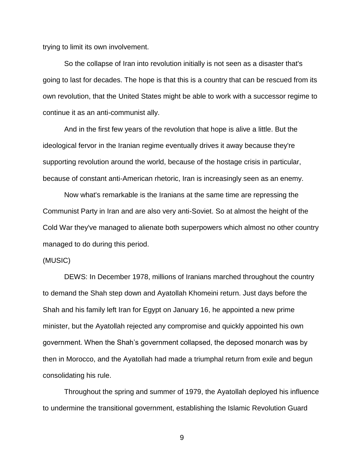trying to limit its own involvement.

So the collapse of Iran into revolution initially is not seen as a disaster that's going to last for decades. The hope is that this is a country that can be rescued from its own revolution, that the United States might be able to work with a successor regime to continue it as an anti-communist ally.

And in the first few years of the revolution that hope is alive a little. But the ideological fervor in the Iranian regime eventually drives it away because they're supporting revolution around the world, because of the hostage crisis in particular, because of constant anti-American rhetoric, Iran is increasingly seen as an enemy.

Now what's remarkable is the Iranians at the same time are repressing the Communist Party in Iran and are also very anti-Soviet. So at almost the height of the Cold War they've managed to alienate both superpowers which almost no other country managed to do during this period.

### (MUSIC)

DEWS: In December 1978, millions of Iranians marched throughout the country to demand the Shah step down and Ayatollah Khomeini return. Just days before the Shah and his family left Iran for Egypt on January 16, he appointed a new prime minister, but the Ayatollah rejected any compromise and quickly appointed his own government. When the Shah's government collapsed, the deposed monarch was by then in Morocco, and the Ayatollah had made a triumphal return from exile and begun consolidating his rule.

Throughout the spring and summer of 1979, the Ayatollah deployed his influence to undermine the transitional government, establishing the Islamic Revolution Guard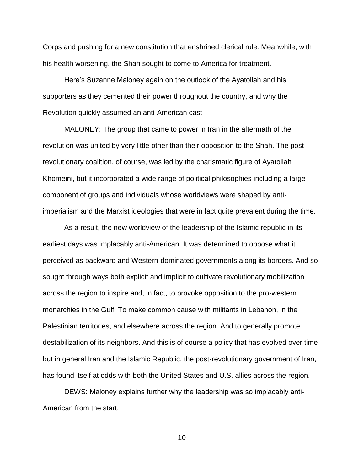Corps and pushing for a new constitution that enshrined clerical rule. Meanwhile, with his health worsening, the Shah sought to come to America for treatment.

Here's Suzanne Maloney again on the outlook of the Ayatollah and his supporters as they cemented their power throughout the country, and why the Revolution quickly assumed an anti-American cast

MALONEY: The group that came to power in Iran in the aftermath of the revolution was united by very little other than their opposition to the Shah. The postrevolutionary coalition, of course, was led by the charismatic figure of Ayatollah Khomeini, but it incorporated a wide range of political philosophies including a large component of groups and individuals whose worldviews were shaped by antiimperialism and the Marxist ideologies that were in fact quite prevalent during the time.

As a result, the new worldview of the leadership of the Islamic republic in its earliest days was implacably anti-American. It was determined to oppose what it perceived as backward and Western-dominated governments along its borders. And so sought through ways both explicit and implicit to cultivate revolutionary mobilization across the region to inspire and, in fact, to provoke opposition to the pro-western monarchies in the Gulf. To make common cause with militants in Lebanon, in the Palestinian territories, and elsewhere across the region. And to generally promote destabilization of its neighbors. And this is of course a policy that has evolved over time but in general Iran and the Islamic Republic, the post-revolutionary government of Iran, has found itself at odds with both the United States and U.S. allies across the region.

DEWS: Maloney explains further why the leadership was so implacably anti-American from the start.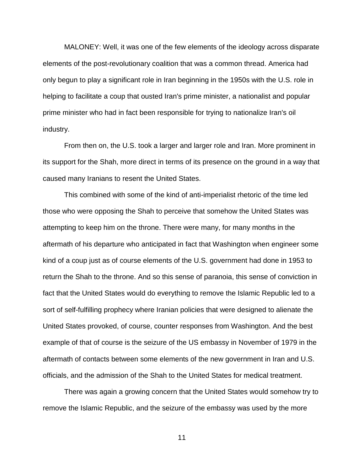MALONEY: Well, it was one of the few elements of the ideology across disparate elements of the post-revolutionary coalition that was a common thread. America had only begun to play a significant role in Iran beginning in the 1950s with the U.S. role in helping to facilitate a coup that ousted Iran's prime minister, a nationalist and popular prime minister who had in fact been responsible for trying to nationalize Iran's oil industry.

From then on, the U.S. took a larger and larger role and Iran. More prominent in its support for the Shah, more direct in terms of its presence on the ground in a way that caused many Iranians to resent the United States.

This combined with some of the kind of anti-imperialist rhetoric of the time led those who were opposing the Shah to perceive that somehow the United States was attempting to keep him on the throne. There were many, for many months in the aftermath of his departure who anticipated in fact that Washington when engineer some kind of a coup just as of course elements of the U.S. government had done in 1953 to return the Shah to the throne. And so this sense of paranoia, this sense of conviction in fact that the United States would do everything to remove the Islamic Republic led to a sort of self-fulfilling prophecy where Iranian policies that were designed to alienate the United States provoked, of course, counter responses from Washington. And the best example of that of course is the seizure of the US embassy in November of 1979 in the aftermath of contacts between some elements of the new government in Iran and U.S. officials, and the admission of the Shah to the United States for medical treatment.

There was again a growing concern that the United States would somehow try to remove the Islamic Republic, and the seizure of the embassy was used by the more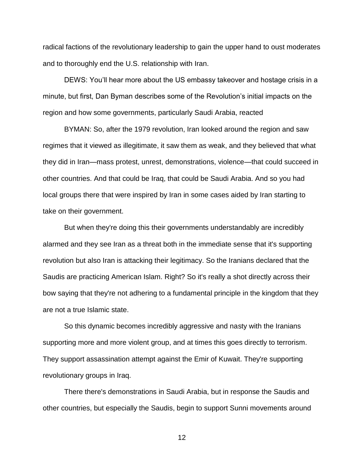radical factions of the revolutionary leadership to gain the upper hand to oust moderates and to thoroughly end the U.S. relationship with Iran.

DEWS: You'll hear more about the US embassy takeover and hostage crisis in a minute, but first, Dan Byman describes some of the Revolution's initial impacts on the region and how some governments, particularly Saudi Arabia, reacted

BYMAN: So, after the 1979 revolution, Iran looked around the region and saw regimes that it viewed as illegitimate, it saw them as weak, and they believed that what they did in Iran—mass protest, unrest, demonstrations, violence—that could succeed in other countries. And that could be Iraq, that could be Saudi Arabia. And so you had local groups there that were inspired by Iran in some cases aided by Iran starting to take on their government.

But when they're doing this their governments understandably are incredibly alarmed and they see Iran as a threat both in the immediate sense that it's supporting revolution but also Iran is attacking their legitimacy. So the Iranians declared that the Saudis are practicing American Islam. Right? So it's really a shot directly across their bow saying that they're not adhering to a fundamental principle in the kingdom that they are not a true Islamic state.

So this dynamic becomes incredibly aggressive and nasty with the Iranians supporting more and more violent group, and at times this goes directly to terrorism. They support assassination attempt against the Emir of Kuwait. They're supporting revolutionary groups in Iraq.

There there's demonstrations in Saudi Arabia, but in response the Saudis and other countries, but especially the Saudis, begin to support Sunni movements around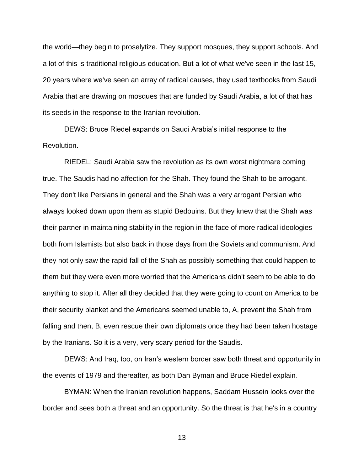the world—they begin to proselytize. They support mosques, they support schools. And a lot of this is traditional religious education. But a lot of what we've seen in the last 15, 20 years where we've seen an array of radical causes, they used textbooks from Saudi Arabia that are drawing on mosques that are funded by Saudi Arabia, a lot of that has its seeds in the response to the Iranian revolution.

DEWS: Bruce Riedel expands on Saudi Arabia's initial response to the Revolution.

RIEDEL: Saudi Arabia saw the revolution as its own worst nightmare coming true. The Saudis had no affection for the Shah. They found the Shah to be arrogant. They don't like Persians in general and the Shah was a very arrogant Persian who always looked down upon them as stupid Bedouins. But they knew that the Shah was their partner in maintaining stability in the region in the face of more radical ideologies both from Islamists but also back in those days from the Soviets and communism. And they not only saw the rapid fall of the Shah as possibly something that could happen to them but they were even more worried that the Americans didn't seem to be able to do anything to stop it. After all they decided that they were going to count on America to be their security blanket and the Americans seemed unable to, A, prevent the Shah from falling and then, B, even rescue their own diplomats once they had been taken hostage by the Iranians. So it is a very, very scary period for the Saudis.

DEWS: And Iraq, too, on Iran's western border saw both threat and opportunity in the events of 1979 and thereafter, as both Dan Byman and Bruce Riedel explain.

BYMAN: When the Iranian revolution happens, Saddam Hussein looks over the border and sees both a threat and an opportunity. So the threat is that he's in a country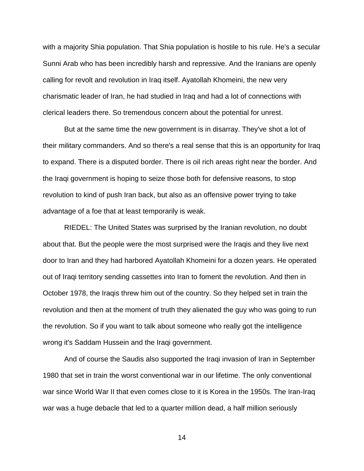with a majority Shia population. That Shia population is hostile to his rule. He's a secular Sunni Arab who has been incredibly harsh and repressive. And the Iranians are openly calling for revolt and revolution in Iraq itself. Ayatollah Khomeini, the new very charismatic leader of Iran, he had studied in Iraq and had a lot of connections with clerical leaders there. So tremendous concern about the potential for unrest.

But at the same time the new government is in disarray. They've shot a lot of their military commanders. And so there's a real sense that this is an opportunity for Iraq to expand. There is a disputed border. There is oil rich areas right near the border. And the Iraqi government is hoping to seize those both for defensive reasons, to stop revolution to kind of push Iran back, but also as an offensive power trying to take advantage of a foe that at least temporarily is weak.

RIEDEL: The United States was surprised by the Iranian revolution, no doubt about that. But the people were the most surprised were the Iraqis and they live next door to Iran and they had harbored Ayatollah Khomeini for a dozen years. He operated out of Iraqi territory sending cassettes into Iran to foment the revolution. And then in October 1978, the Iraqis threw him out of the country. So they helped set in train the revolution and then at the moment of truth they alienated the guy who was going to run the revolution. So if you want to talk about someone who really got the intelligence wrong it's Saddam Hussein and the Iraqi government.

And of course the Saudis also supported the Iraqi invasion of Iran in September 1980 that set in train the worst conventional war in our lifetime. The only conventional war since World War II that even comes close to it is Korea in the 1950s. The Iran-Iraq war was a huge debacle that led to a quarter million dead, a half million seriously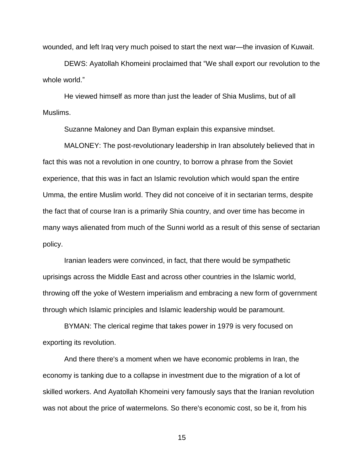wounded, and left Iraq very much poised to start the next war—the invasion of Kuwait.

DEWS: Ayatollah Khomeini proclaimed that "We shall export our revolution to the whole world."

He viewed himself as more than just the leader of Shia Muslims, but of all Muslims.

Suzanne Maloney and Dan Byman explain this expansive mindset.

MALONEY: The post-revolutionary leadership in Iran absolutely believed that in fact this was not a revolution in one country, to borrow a phrase from the Soviet experience, that this was in fact an Islamic revolution which would span the entire Umma, the entire Muslim world. They did not conceive of it in sectarian terms, despite the fact that of course Iran is a primarily Shia country, and over time has become in many ways alienated from much of the Sunni world as a result of this sense of sectarian policy.

Iranian leaders were convinced, in fact, that there would be sympathetic uprisings across the Middle East and across other countries in the Islamic world, throwing off the yoke of Western imperialism and embracing a new form of government through which Islamic principles and Islamic leadership would be paramount.

BYMAN: The clerical regime that takes power in 1979 is very focused on exporting its revolution.

And there there's a moment when we have economic problems in Iran, the economy is tanking due to a collapse in investment due to the migration of a lot of skilled workers. And Ayatollah Khomeini very famously says that the Iranian revolution was not about the price of watermelons. So there's economic cost, so be it, from his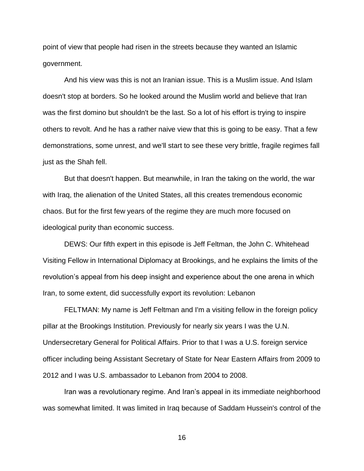point of view that people had risen in the streets because they wanted an Islamic government.

And his view was this is not an Iranian issue. This is a Muslim issue. And Islam doesn't stop at borders. So he looked around the Muslim world and believe that Iran was the first domino but shouldn't be the last. So a lot of his effort is trying to inspire others to revolt. And he has a rather naive view that this is going to be easy. That a few demonstrations, some unrest, and we'll start to see these very brittle, fragile regimes fall just as the Shah fell.

But that doesn't happen. But meanwhile, in Iran the taking on the world, the war with Iraq, the alienation of the United States, all this creates tremendous economic chaos. But for the first few years of the regime they are much more focused on ideological purity than economic success.

DEWS: Our fifth expert in this episode is Jeff Feltman, the John C. Whitehead Visiting Fellow in International Diplomacy at Brookings, and he explains the limits of the revolution's appeal from his deep insight and experience about the one arena in which Iran, to some extent, did successfully export its revolution: Lebanon

FELTMAN: My name is Jeff Feltman and I'm a visiting fellow in the foreign policy pillar at the Brookings Institution. Previously for nearly six years I was the U.N. Undersecretary General for Political Affairs. Prior to that I was a U.S. foreign service officer including being Assistant Secretary of State for Near Eastern Affairs from 2009 to 2012 and I was U.S. ambassador to Lebanon from 2004 to 2008.

Iran was a revolutionary regime. And Iran's appeal in its immediate neighborhood was somewhat limited. It was limited in Iraq because of Saddam Hussein's control of the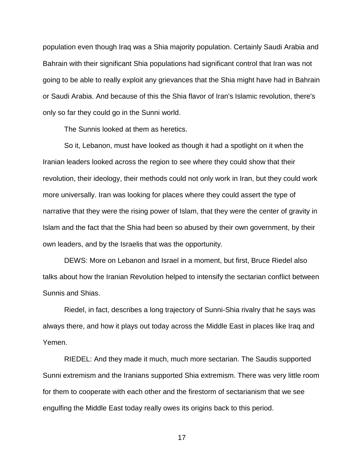population even though Iraq was a Shia majority population. Certainly Saudi Arabia and Bahrain with their significant Shia populations had significant control that Iran was not going to be able to really exploit any grievances that the Shia might have had in Bahrain or Saudi Arabia. And because of this the Shia flavor of Iran's Islamic revolution, there's only so far they could go in the Sunni world.

The Sunnis looked at them as heretics.

So it, Lebanon, must have looked as though it had a spotlight on it when the Iranian leaders looked across the region to see where they could show that their revolution, their ideology, their methods could not only work in Iran, but they could work more universally. Iran was looking for places where they could assert the type of narrative that they were the rising power of Islam, that they were the center of gravity in Islam and the fact that the Shia had been so abused by their own government, by their own leaders, and by the Israelis that was the opportunity.

DEWS: More on Lebanon and Israel in a moment, but first, Bruce Riedel also talks about how the Iranian Revolution helped to intensify the sectarian conflict between Sunnis and Shias.

Riedel, in fact, describes a long trajectory of Sunni-Shia rivalry that he says was always there, and how it plays out today across the Middle East in places like Iraq and Yemen.

RIEDEL: And they made it much, much more sectarian. The Saudis supported Sunni extremism and the Iranians supported Shia extremism. There was very little room for them to cooperate with each other and the firestorm of sectarianism that we see engulfing the Middle East today really owes its origins back to this period.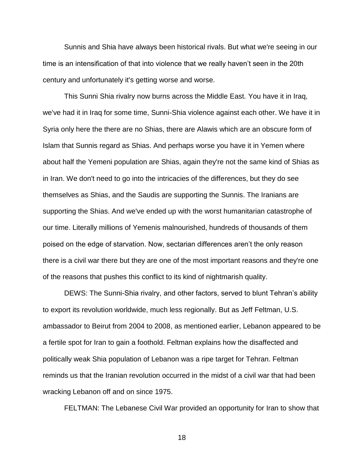Sunnis and Shia have always been historical rivals. But what we're seeing in our time is an intensification of that into violence that we really haven't seen in the 20th century and unfortunately it's getting worse and worse.

This Sunni Shia rivalry now burns across the Middle East. You have it in Iraq, we've had it in Iraq for some time, Sunni-Shia violence against each other. We have it in Syria only here the there are no Shias, there are Alawis which are an obscure form of Islam that Sunnis regard as Shias. And perhaps worse you have it in Yemen where about half the Yemeni population are Shias, again they're not the same kind of Shias as in Iran. We don't need to go into the intricacies of the differences, but they do see themselves as Shias, and the Saudis are supporting the Sunnis. The Iranians are supporting the Shias. And we've ended up with the worst humanitarian catastrophe of our time. Literally millions of Yemenis malnourished, hundreds of thousands of them poised on the edge of starvation. Now, sectarian differences aren't the only reason there is a civil war there but they are one of the most important reasons and they're one of the reasons that pushes this conflict to its kind of nightmarish quality.

DEWS: The Sunni-Shia rivalry, and other factors, served to blunt Tehran's ability to export its revolution worldwide, much less regionally. But as Jeff Feltman, U.S. ambassador to Beirut from 2004 to 2008, as mentioned earlier, Lebanon appeared to be a fertile spot for Iran to gain a foothold. Feltman explains how the disaffected and politically weak Shia population of Lebanon was a ripe target for Tehran. Feltman reminds us that the Iranian revolution occurred in the midst of a civil war that had been wracking Lebanon off and on since 1975.

FELTMAN: The Lebanese Civil War provided an opportunity for Iran to show that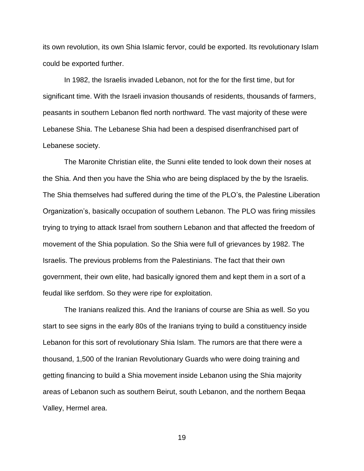its own revolution, its own Shia Islamic fervor, could be exported. Its revolutionary Islam could be exported further.

In 1982, the Israelis invaded Lebanon, not for the for the first time, but for significant time. With the Israeli invasion thousands of residents, thousands of farmers, peasants in southern Lebanon fled north northward. The vast majority of these were Lebanese Shia. The Lebanese Shia had been a despised disenfranchised part of Lebanese society.

The Maronite Christian elite, the Sunni elite tended to look down their noses at the Shia. And then you have the Shia who are being displaced by the by the Israelis. The Shia themselves had suffered during the time of the PLO's, the Palestine Liberation Organization's, basically occupation of southern Lebanon. The PLO was firing missiles trying to trying to attack Israel from southern Lebanon and that affected the freedom of movement of the Shia population. So the Shia were full of grievances by 1982. The Israelis. The previous problems from the Palestinians. The fact that their own government, their own elite, had basically ignored them and kept them in a sort of a feudal like serfdom. So they were ripe for exploitation.

The Iranians realized this. And the Iranians of course are Shia as well. So you start to see signs in the early 80s of the Iranians trying to build a constituency inside Lebanon for this sort of revolutionary Shia Islam. The rumors are that there were a thousand, 1,500 of the Iranian Revolutionary Guards who were doing training and getting financing to build a Shia movement inside Lebanon using the Shia majority areas of Lebanon such as southern Beirut, south Lebanon, and the northern Beqaa Valley, Hermel area.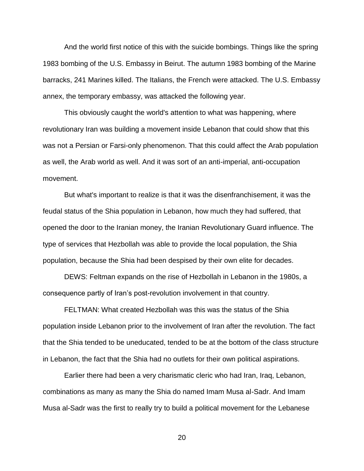And the world first notice of this with the suicide bombings. Things like the spring 1983 bombing of the U.S. Embassy in Beirut. The autumn 1983 bombing of the Marine barracks, 241 Marines killed. The Italians, the French were attacked. The U.S. Embassy annex, the temporary embassy, was attacked the following year.

This obviously caught the world's attention to what was happening, where revolutionary Iran was building a movement inside Lebanon that could show that this was not a Persian or Farsi-only phenomenon. That this could affect the Arab population as well, the Arab world as well. And it was sort of an anti-imperial, anti-occupation movement.

But what's important to realize is that it was the disenfranchisement, it was the feudal status of the Shia population in Lebanon, how much they had suffered, that opened the door to the Iranian money, the Iranian Revolutionary Guard influence. The type of services that Hezbollah was able to provide the local population, the Shia population, because the Shia had been despised by their own elite for decades.

DEWS: Feltman expands on the rise of Hezbollah in Lebanon in the 1980s, a consequence partly of Iran's post-revolution involvement in that country.

FELTMAN: What created Hezbollah was this was the status of the Shia population inside Lebanon prior to the involvement of Iran after the revolution. The fact that the Shia tended to be uneducated, tended to be at the bottom of the class structure in Lebanon, the fact that the Shia had no outlets for their own political aspirations.

Earlier there had been a very charismatic cleric who had Iran, Iraq, Lebanon, combinations as many as many the Shia do named Imam Musa al-Sadr. And Imam Musa al-Sadr was the first to really try to build a political movement for the Lebanese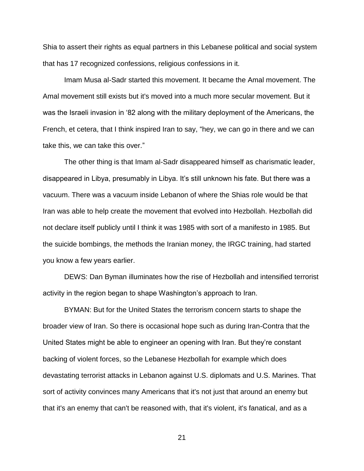Shia to assert their rights as equal partners in this Lebanese political and social system that has 17 recognized confessions, religious confessions in it.

Imam Musa al-Sadr started this movement. It became the Amal movement. The Amal movement still exists but it's moved into a much more secular movement. But it was the Israeli invasion in '82 along with the military deployment of the Americans, the French, et cetera, that I think inspired Iran to say, "hey, we can go in there and we can take this, we can take this over."

The other thing is that Imam al-Sadr disappeared himself as charismatic leader, disappeared in Libya, presumably in Libya. It's still unknown his fate. But there was a vacuum. There was a vacuum inside Lebanon of where the Shias role would be that Iran was able to help create the movement that evolved into Hezbollah. Hezbollah did not declare itself publicly until I think it was 1985 with sort of a manifesto in 1985. But the suicide bombings, the methods the Iranian money, the IRGC training, had started you know a few years earlier.

DEWS: Dan Byman illuminates how the rise of Hezbollah and intensified terrorist activity in the region began to shape Washington's approach to Iran.

BYMAN: But for the United States the terrorism concern starts to shape the broader view of Iran. So there is occasional hope such as during Iran-Contra that the United States might be able to engineer an opening with Iran. But they're constant backing of violent forces, so the Lebanese Hezbollah for example which does devastating terrorist attacks in Lebanon against U.S. diplomats and U.S. Marines. That sort of activity convinces many Americans that it's not just that around an enemy but that it's an enemy that can't be reasoned with, that it's violent, it's fanatical, and as a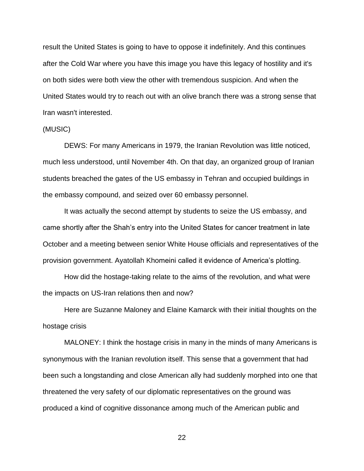result the United States is going to have to oppose it indefinitely. And this continues after the Cold War where you have this image you have this legacy of hostility and it's on both sides were both view the other with tremendous suspicion. And when the United States would try to reach out with an olive branch there was a strong sense that Iran wasn't interested.

### (MUSIC)

DEWS: For many Americans in 1979, the Iranian Revolution was little noticed, much less understood, until November 4th. On that day, an organized group of Iranian students breached the gates of the US embassy in Tehran and occupied buildings in the embassy compound, and seized over 60 embassy personnel.

It was actually the second attempt by students to seize the US embassy, and came shortly after the Shah's entry into the United States for cancer treatment in late October and a meeting between senior White House officials and representatives of the provision government. Ayatollah Khomeini called it evidence of America's plotting.

How did the hostage-taking relate to the aims of the revolution, and what were the impacts on US-Iran relations then and now?

Here are Suzanne Maloney and Elaine Kamarck with their initial thoughts on the hostage crisis

MALONEY: I think the hostage crisis in many in the minds of many Americans is synonymous with the Iranian revolution itself. This sense that a government that had been such a longstanding and close American ally had suddenly morphed into one that threatened the very safety of our diplomatic representatives on the ground was produced a kind of cognitive dissonance among much of the American public and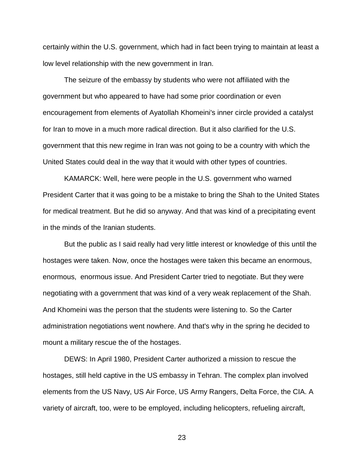certainly within the U.S. government, which had in fact been trying to maintain at least a low level relationship with the new government in Iran.

The seizure of the embassy by students who were not affiliated with the government but who appeared to have had some prior coordination or even encouragement from elements of Ayatollah Khomeini's inner circle provided a catalyst for Iran to move in a much more radical direction. But it also clarified for the U.S. government that this new regime in Iran was not going to be a country with which the United States could deal in the way that it would with other types of countries.

KAMARCK: Well, here were people in the U.S. government who warned President Carter that it was going to be a mistake to bring the Shah to the United States for medical treatment. But he did so anyway. And that was kind of a precipitating event in the minds of the Iranian students.

But the public as I said really had very little interest or knowledge of this until the hostages were taken. Now, once the hostages were taken this became an enormous, enormous, enormous issue. And President Carter tried to negotiate. But they were negotiating with a government that was kind of a very weak replacement of the Shah. And Khomeini was the person that the students were listening to. So the Carter administration negotiations went nowhere. And that's why in the spring he decided to mount a military rescue the of the hostages.

DEWS: In April 1980, President Carter authorized a mission to rescue the hostages, still held captive in the US embassy in Tehran. The complex plan involved elements from the US Navy, US Air Force, US Army Rangers, Delta Force, the CIA. A variety of aircraft, too, were to be employed, including helicopters, refueling aircraft,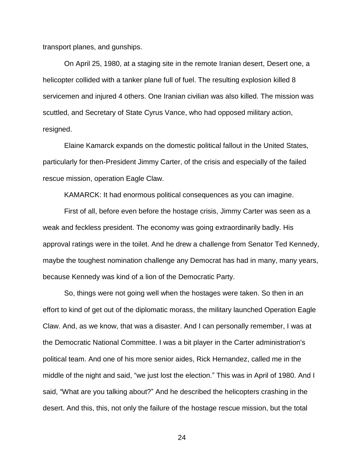transport planes, and gunships.

On April 25, 1980, at a staging site in the remote Iranian desert, Desert one, a helicopter collided with a tanker plane full of fuel. The resulting explosion killed 8 servicemen and injured 4 others. One Iranian civilian was also killed. The mission was scuttled, and Secretary of State Cyrus Vance, who had opposed military action, resigned.

Elaine Kamarck expands on the domestic political fallout in the United States, particularly for then-President Jimmy Carter, of the crisis and especially of the failed rescue mission, operation Eagle Claw.

KAMARCK: It had enormous political consequences as you can imagine.

First of all, before even before the hostage crisis, Jimmy Carter was seen as a weak and feckless president. The economy was going extraordinarily badly. His approval ratings were in the toilet. And he drew a challenge from Senator Ted Kennedy, maybe the toughest nomination challenge any Democrat has had in many, many years, because Kennedy was kind of a lion of the Democratic Party.

So, things were not going well when the hostages were taken. So then in an effort to kind of get out of the diplomatic morass, the military launched Operation Eagle Claw. And, as we know, that was a disaster. And I can personally remember, I was at the Democratic National Committee. I was a bit player in the Carter administration's political team. And one of his more senior aides, Rick Hernandez, called me in the middle of the night and said, "we just lost the election." This was in April of 1980. And I said, "What are you talking about?" And he described the helicopters crashing in the desert. And this, this, not only the failure of the hostage rescue mission, but the total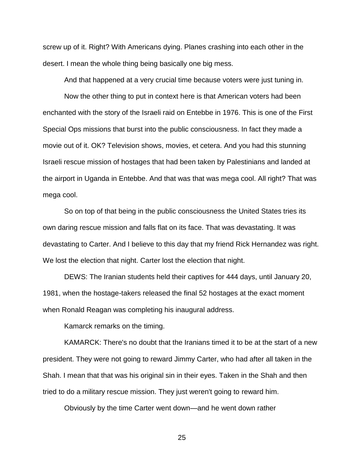screw up of it. Right? With Americans dying. Planes crashing into each other in the desert. I mean the whole thing being basically one big mess.

And that happened at a very crucial time because voters were just tuning in.

Now the other thing to put in context here is that American voters had been enchanted with the story of the Israeli raid on Entebbe in 1976. This is one of the First Special Ops missions that burst into the public consciousness. In fact they made a movie out of it. OK? Television shows, movies, et cetera. And you had this stunning Israeli rescue mission of hostages that had been taken by Palestinians and landed at the airport in Uganda in Entebbe. And that was that was mega cool. All right? That was mega cool.

So on top of that being in the public consciousness the United States tries its own daring rescue mission and falls flat on its face. That was devastating. It was devastating to Carter. And I believe to this day that my friend Rick Hernandez was right. We lost the election that night. Carter lost the election that night.

DEWS: The Iranian students held their captives for 444 days, until January 20, 1981, when the hostage-takers released the final 52 hostages at the exact moment when Ronald Reagan was completing his inaugural address.

Kamarck remarks on the timing.

KAMARCK: There's no doubt that the Iranians timed it to be at the start of a new president. They were not going to reward Jimmy Carter, who had after all taken in the Shah. I mean that that was his original sin in their eyes. Taken in the Shah and then tried to do a military rescue mission. They just weren't going to reward him.

Obviously by the time Carter went down—and he went down rather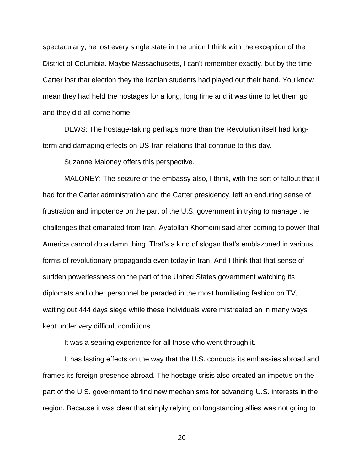spectacularly, he lost every single state in the union I think with the exception of the District of Columbia. Maybe Massachusetts, I can't remember exactly, but by the time Carter lost that election they the Iranian students had played out their hand. You know, I mean they had held the hostages for a long, long time and it was time to let them go and they did all come home.

DEWS: The hostage-taking perhaps more than the Revolution itself had longterm and damaging effects on US-Iran relations that continue to this day.

Suzanne Maloney offers this perspective.

MALONEY: The seizure of the embassy also, I think, with the sort of fallout that it had for the Carter administration and the Carter presidency, left an enduring sense of frustration and impotence on the part of the U.S. government in trying to manage the challenges that emanated from Iran. Ayatollah Khomeini said after coming to power that America cannot do a damn thing. That's a kind of slogan that's emblazoned in various forms of revolutionary propaganda even today in Iran. And I think that that sense of sudden powerlessness on the part of the United States government watching its diplomats and other personnel be paraded in the most humiliating fashion on TV, waiting out 444 days siege while these individuals were mistreated an in many ways kept under very difficult conditions.

It was a searing experience for all those who went through it.

It has lasting effects on the way that the U.S. conducts its embassies abroad and frames its foreign presence abroad. The hostage crisis also created an impetus on the part of the U.S. government to find new mechanisms for advancing U.S. interests in the region. Because it was clear that simply relying on longstanding allies was not going to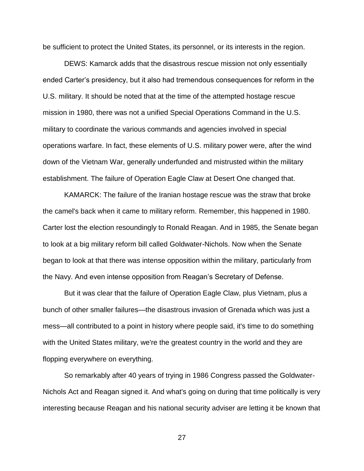be sufficient to protect the United States, its personnel, or its interests in the region.

DEWS: Kamarck adds that the disastrous rescue mission not only essentially ended Carter's presidency, but it also had tremendous consequences for reform in the U.S. military. It should be noted that at the time of the attempted hostage rescue mission in 1980, there was not a unified Special Operations Command in the U.S. military to coordinate the various commands and agencies involved in special operations warfare. In fact, these elements of U.S. military power were, after the wind down of the Vietnam War, generally underfunded and mistrusted within the military establishment. The failure of Operation Eagle Claw at Desert One changed that.

KAMARCK: The failure of the Iranian hostage rescue was the straw that broke the camel's back when it came to military reform. Remember, this happened in 1980. Carter lost the election resoundingly to Ronald Reagan. And in 1985, the Senate began to look at a big military reform bill called Goldwater-Nichols. Now when the Senate began to look at that there was intense opposition within the military, particularly from the Navy. And even intense opposition from Reagan's Secretary of Defense.

But it was clear that the failure of Operation Eagle Claw, plus Vietnam, plus a bunch of other smaller failures—the disastrous invasion of Grenada which was just a mess—all contributed to a point in history where people said, it's time to do something with the United States military, we're the greatest country in the world and they are flopping everywhere on everything.

So remarkably after 40 years of trying in 1986 Congress passed the Goldwater-Nichols Act and Reagan signed it. And what's going on during that time politically is very interesting because Reagan and his national security adviser are letting it be known that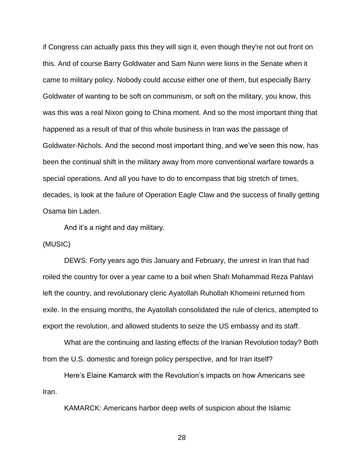if Congress can actually pass this they will sign it, even though they're not out front on this. And of course Barry Goldwater and Sam Nunn were lions in the Senate when it came to military policy. Nobody could accuse either one of them, but especially Barry Goldwater of wanting to be soft on communism, or soft on the military, you know, this was this was a real Nixon going to China moment. And so the most important thing that happened as a result of that of this whole business in Iran was the passage of Goldwater-Nichols. And the second most important thing, and we've seen this now, has been the continual shift in the military away from more conventional warfare towards a special operations. And all you have to do to encompass that big stretch of times, decades, is look at the failure of Operation Eagle Claw and the success of finally getting Osama bin Laden.

And it's a night and day military.

(MUSIC)

DEWS: Forty years ago this January and February, the unrest in Iran that had roiled the country for over a year came to a boil when Shah Mohammad Reza Pahlavi left the country, and revolutionary cleric Ayatollah Ruhollah Khomeini returned from exile. In the ensuing months, the Ayatollah consolidated the rule of clerics, attempted to export the revolution, and allowed students to seize the US embassy and its staff.

What are the continuing and lasting effects of the Iranian Revolution today? Both from the U.S. domestic and foreign policy perspective, and for Iran itself?

Here's Elaine Kamarck with the Revolution's impacts on how Americans see Iran.

KAMARCK: Americans harbor deep wells of suspicion about the Islamic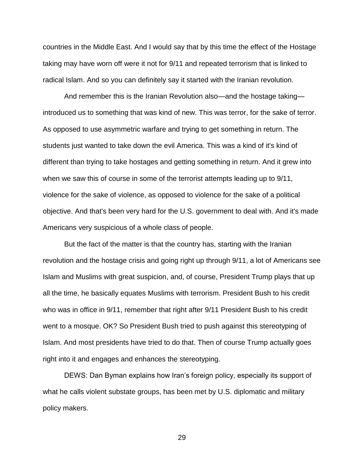countries in the Middle East. And I would say that by this time the effect of the Hostage taking may have worn off were it not for 9/11 and repeated terrorism that is linked to radical Islam. And so you can definitely say it started with the Iranian revolution.

And remember this is the Iranian Revolution also—and the hostage taking introduced us to something that was kind of new. This was terror, for the sake of terror. As opposed to use asymmetric warfare and trying to get something in return. The students just wanted to take down the evil America. This was a kind of it's kind of different than trying to take hostages and getting something in return. And it grew into when we saw this of course in some of the terrorist attempts leading up to 9/11, violence for the sake of violence, as opposed to violence for the sake of a political objective. And that's been very hard for the U.S. government to deal with. And it's made Americans very suspicious of a whole class of people.

But the fact of the matter is that the country has, starting with the Iranian revolution and the hostage crisis and going right up through 9/11, a lot of Americans see Islam and Muslims with great suspicion, and, of course, President Trump plays that up all the time, he basically equates Muslims with terrorism. President Bush to his credit who was in office in 9/11, remember that right after 9/11 President Bush to his credit went to a mosque. OK? So President Bush tried to push against this stereotyping of Islam. And most presidents have tried to do that. Then of course Trump actually goes right into it and engages and enhances the stereotyping.

DEWS: Dan Byman explains how Iran's foreign policy, especially its support of what he calls violent substate groups, has been met by U.S. diplomatic and military policy makers.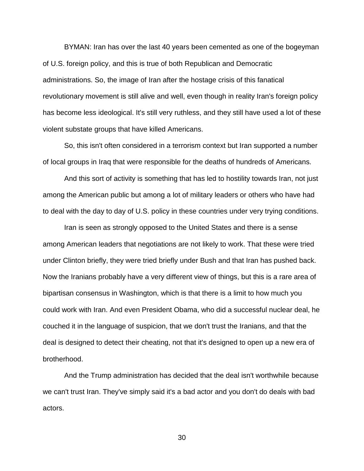BYMAN: Iran has over the last 40 years been cemented as one of the bogeyman of U.S. foreign policy, and this is true of both Republican and Democratic administrations. So, the image of Iran after the hostage crisis of this fanatical revolutionary movement is still alive and well, even though in reality Iran's foreign policy has become less ideological. It's still very ruthless, and they still have used a lot of these violent substate groups that have killed Americans.

So, this isn't often considered in a terrorism context but Iran supported a number of local groups in Iraq that were responsible for the deaths of hundreds of Americans.

And this sort of activity is something that has led to hostility towards Iran, not just among the American public but among a lot of military leaders or others who have had to deal with the day to day of U.S. policy in these countries under very trying conditions.

Iran is seen as strongly opposed to the United States and there is a sense among American leaders that negotiations are not likely to work. That these were tried under Clinton briefly, they were tried briefly under Bush and that Iran has pushed back. Now the Iranians probably have a very different view of things, but this is a rare area of bipartisan consensus in Washington, which is that there is a limit to how much you could work with Iran. And even President Obama, who did a successful nuclear deal, he couched it in the language of suspicion, that we don't trust the Iranians, and that the deal is designed to detect their cheating, not that it's designed to open up a new era of brotherhood.

And the Trump administration has decided that the deal isn't worthwhile because we can't trust Iran. They've simply said it's a bad actor and you don't do deals with bad actors.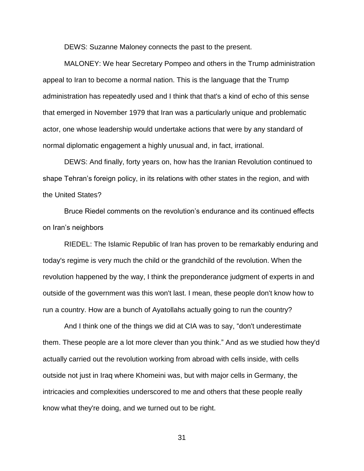DEWS: Suzanne Maloney connects the past to the present.

MALONEY: We hear Secretary Pompeo and others in the Trump administration appeal to Iran to become a normal nation. This is the language that the Trump administration has repeatedly used and I think that that's a kind of echo of this sense that emerged in November 1979 that Iran was a particularly unique and problematic actor, one whose leadership would undertake actions that were by any standard of normal diplomatic engagement a highly unusual and, in fact, irrational.

DEWS: And finally, forty years on, how has the Iranian Revolution continued to shape Tehran's foreign policy, in its relations with other states in the region, and with the United States?

Bruce Riedel comments on the revolution's endurance and its continued effects on Iran's neighbors

RIEDEL: The Islamic Republic of Iran has proven to be remarkably enduring and today's regime is very much the child or the grandchild of the revolution. When the revolution happened by the way, I think the preponderance judgment of experts in and outside of the government was this won't last. I mean, these people don't know how to run a country. How are a bunch of Ayatollahs actually going to run the country?

And I think one of the things we did at CIA was to say, "don't underestimate them. These people are a lot more clever than you think." And as we studied how they'd actually carried out the revolution working from abroad with cells inside, with cells outside not just in Iraq where Khomeini was, but with major cells in Germany, the intricacies and complexities underscored to me and others that these people really know what they're doing, and we turned out to be right.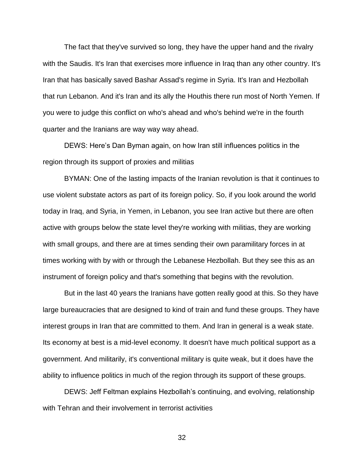The fact that they've survived so long, they have the upper hand and the rivalry with the Saudis. It's Iran that exercises more influence in Iraq than any other country. It's Iran that has basically saved Bashar Assad's regime in Syria. It's Iran and Hezbollah that run Lebanon. And it's Iran and its ally the Houthis there run most of North Yemen. If you were to judge this conflict on who's ahead and who's behind we're in the fourth quarter and the Iranians are way way way ahead.

DEWS: Here's Dan Byman again, on how Iran still influences politics in the region through its support of proxies and militias

BYMAN: One of the lasting impacts of the Iranian revolution is that it continues to use violent substate actors as part of its foreign policy. So, if you look around the world today in Iraq, and Syria, in Yemen, in Lebanon, you see Iran active but there are often active with groups below the state level they're working with militias, they are working with small groups, and there are at times sending their own paramilitary forces in at times working with by with or through the Lebanese Hezbollah. But they see this as an instrument of foreign policy and that's something that begins with the revolution.

But in the last 40 years the Iranians have gotten really good at this. So they have large bureaucracies that are designed to kind of train and fund these groups. They have interest groups in Iran that are committed to them. And Iran in general is a weak state. Its economy at best is a mid-level economy. It doesn't have much political support as a government. And militarily, it's conventional military is quite weak, but it does have the ability to influence politics in much of the region through its support of these groups.

DEWS: Jeff Feltman explains Hezbollah's continuing, and evolving, relationship with Tehran and their involvement in terrorist activities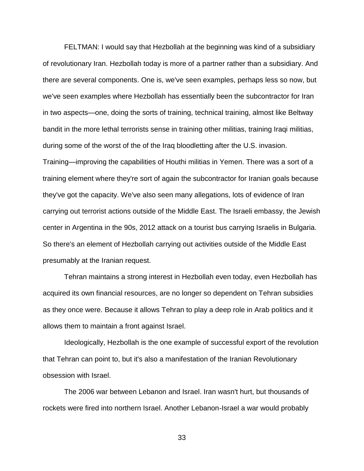FELTMAN: I would say that Hezbollah at the beginning was kind of a subsidiary of revolutionary Iran. Hezbollah today is more of a partner rather than a subsidiary. And there are several components. One is, we've seen examples, perhaps less so now, but we've seen examples where Hezbollah has essentially been the subcontractor for Iran in two aspects—one, doing the sorts of training, technical training, almost like Beltway bandit in the more lethal terrorists sense in training other militias, training Iraqi militias, during some of the worst of the of the Iraq bloodletting after the U.S. invasion. Training—improving the capabilities of Houthi militias in Yemen. There was a sort of a training element where they're sort of again the subcontractor for Iranian goals because they've got the capacity. We've also seen many allegations, lots of evidence of Iran carrying out terrorist actions outside of the Middle East. The Israeli embassy, the Jewish center in Argentina in the 90s, 2012 attack on a tourist bus carrying Israelis in Bulgaria. So there's an element of Hezbollah carrying out activities outside of the Middle East presumably at the Iranian request.

Tehran maintains a strong interest in Hezbollah even today, even Hezbollah has acquired its own financial resources, are no longer so dependent on Tehran subsidies as they once were. Because it allows Tehran to play a deep role in Arab politics and it allows them to maintain a front against Israel.

Ideologically, Hezbollah is the one example of successful export of the revolution that Tehran can point to, but it's also a manifestation of the Iranian Revolutionary obsession with Israel.

The 2006 war between Lebanon and Israel. Iran wasn't hurt, but thousands of rockets were fired into northern Israel. Another Lebanon-Israel a war would probably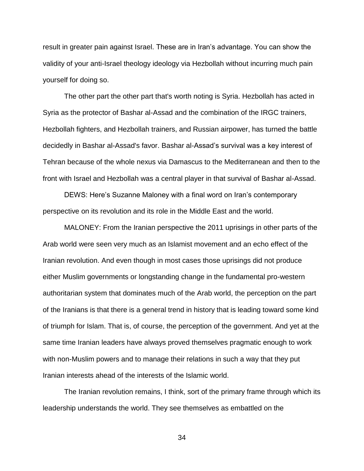result in greater pain against Israel. These are in Iran's advantage. You can show the validity of your anti-Israel theology ideology via Hezbollah without incurring much pain yourself for doing so.

The other part the other part that's worth noting is Syria. Hezbollah has acted in Syria as the protector of Bashar al-Assad and the combination of the IRGC trainers, Hezbollah fighters, and Hezbollah trainers, and Russian airpower, has turned the battle decidedly in Bashar al-Assad's favor. Bashar al-Assad's survival was a key interest of Tehran because of the whole nexus via Damascus to the Mediterranean and then to the front with Israel and Hezbollah was a central player in that survival of Bashar al-Assad.

DEWS: Here's Suzanne Maloney with a final word on Iran's contemporary perspective on its revolution and its role in the Middle East and the world.

MALONEY: From the Iranian perspective the 2011 uprisings in other parts of the Arab world were seen very much as an Islamist movement and an echo effect of the Iranian revolution. And even though in most cases those uprisings did not produce either Muslim governments or longstanding change in the fundamental pro-western authoritarian system that dominates much of the Arab world, the perception on the part of the Iranians is that there is a general trend in history that is leading toward some kind of triumph for Islam. That is, of course, the perception of the government. And yet at the same time Iranian leaders have always proved themselves pragmatic enough to work with non-Muslim powers and to manage their relations in such a way that they put Iranian interests ahead of the interests of the Islamic world.

The Iranian revolution remains, I think, sort of the primary frame through which its leadership understands the world. They see themselves as embattled on the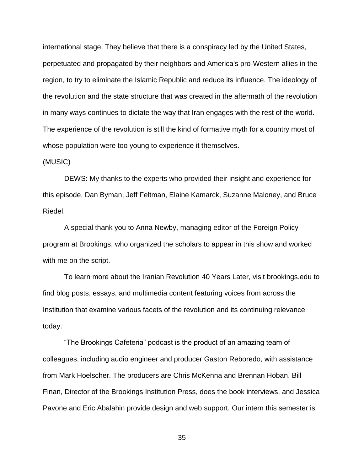international stage. They believe that there is a conspiracy led by the United States, perpetuated and propagated by their neighbors and America's pro-Western allies in the region, to try to eliminate the Islamic Republic and reduce its influence. The ideology of the revolution and the state structure that was created in the aftermath of the revolution in many ways continues to dictate the way that Iran engages with the rest of the world. The experience of the revolution is still the kind of formative myth for a country most of whose population were too young to experience it themselves.

## (MUSIC)

DEWS: My thanks to the experts who provided their insight and experience for this episode, Dan Byman, Jeff Feltman, Elaine Kamarck, Suzanne Maloney, and Bruce Riedel.

A special thank you to Anna Newby, managing editor of the Foreign Policy program at Brookings, who organized the scholars to appear in this show and worked with me on the script.

To learn more about the Iranian Revolution 40 Years Later, visit brookings.edu to find blog posts, essays, and multimedia content featuring voices from across the Institution that examine various facets of the revolution and its continuing relevance today.

"The Brookings Cafeteria" podcast is the product of an amazing team of colleagues, including audio engineer and producer Gaston Reboredo, with assistance from Mark Hoelscher. The producers are Chris McKenna and Brennan Hoban. Bill Finan, Director of the Brookings Institution Press, does the book interviews, and Jessica Pavone and Eric Abalahin provide design and web support. Our intern this semester is